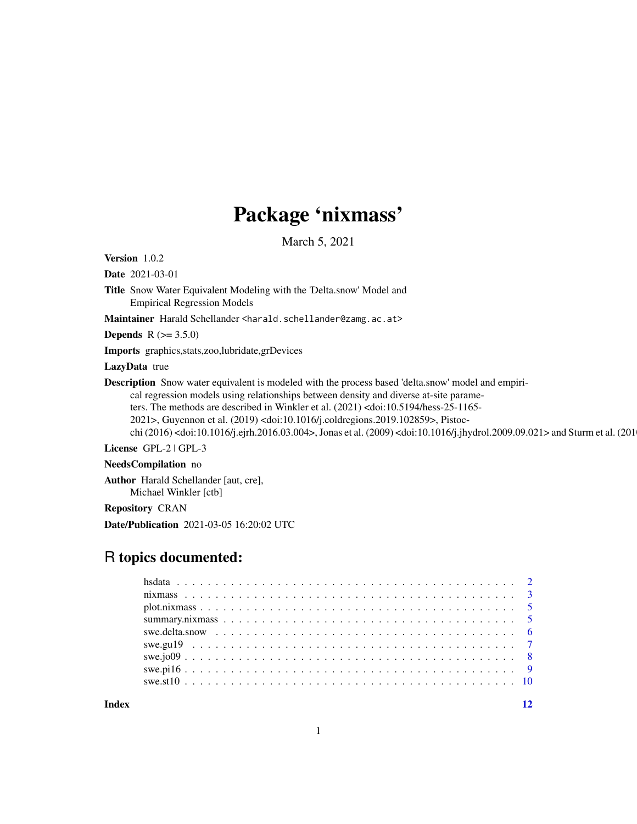# Package 'nixmass'

March 5, 2021

<span id="page-0-0"></span>Version 1.0.2

Date 2021-03-01

Title Snow Water Equivalent Modeling with the 'Delta.snow' Model and Empirical Regression Models

Maintainer Harald Schellander <harald.schellander@zamg.ac.at>

**Depends**  $R (= 3.5.0)$ 

Imports graphics,stats,zoo,lubridate,grDevices

LazyData true

Description Snow water equivalent is modeled with the process based 'delta.snow' model and empiri-

cal regression models using relationships between density and diverse at-site parameters. The methods are described in Winkler et al. (2021) <doi:10.5194/hess-25-1165-

2021>, Guyennon et al. (2019) <doi:10.1016/j.coldregions.2019.102859>, Pistoc-

chi (2016) <doi:10.1016/j.ejrh.2016.03.004>, Jonas et al. (2009) <doi:10.1016/j.jhydrol.2009.09.021> and Sturm et al. (201

License GPL-2 | GPL-3

NeedsCompilation no

Author Harald Schellander [aut, cre], Michael Winkler [ctb]

Repository CRAN

Date/Publication 2021-03-05 16:20:02 UTC

## R topics documented:

|       | swe.pil $69$ |  |  |
|-------|--------------|--|--|
|       |              |  |  |
| Index |              |  |  |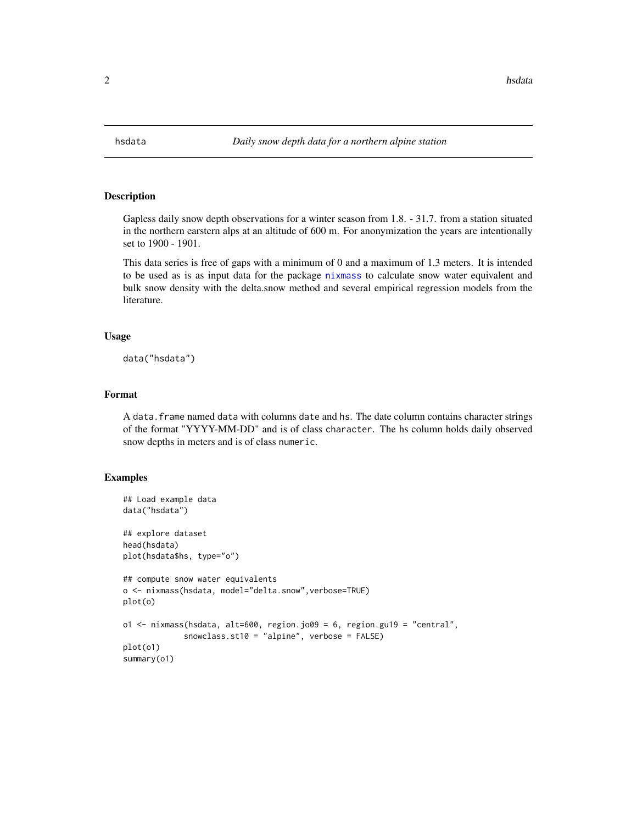<span id="page-1-0"></span>

#### Description

Gapless daily snow depth observations for a winter season from 1.8. - 31.7. from a station situated in the northern earstern alps at an altitude of 600 m. For anonymization the years are intentionally set to 1900 - 1901.

This data series is free of gaps with a minimum of 0 and a maximum of 1.3 meters. It is intended to be used as is as input data for the package [nixmass](#page-2-1) to calculate snow water equivalent and bulk snow density with the delta.snow method and several empirical regression models from the literature.

#### Usage

data("hsdata")

## Format

A data.frame named data with columns date and hs. The date column contains character strings of the format "YYYY-MM-DD" and is of class character. The hs column holds daily observed snow depths in meters and is of class numeric.

#### Examples

```
## Load example data
data("hsdata")
## explore dataset
head(hsdata)
plot(hsdata$hs, type="o")
## compute snow water equivalents
o <- nixmass(hsdata, model="delta.snow",verbose=TRUE)
plot(o)
o1 <- nixmass(hsdata, alt=600, region.jo09 = 6, region.gu19 = "central",
             snowclass.st10 = "alpine", verbose = FALSE)
plot(o1)
summary(o1)
```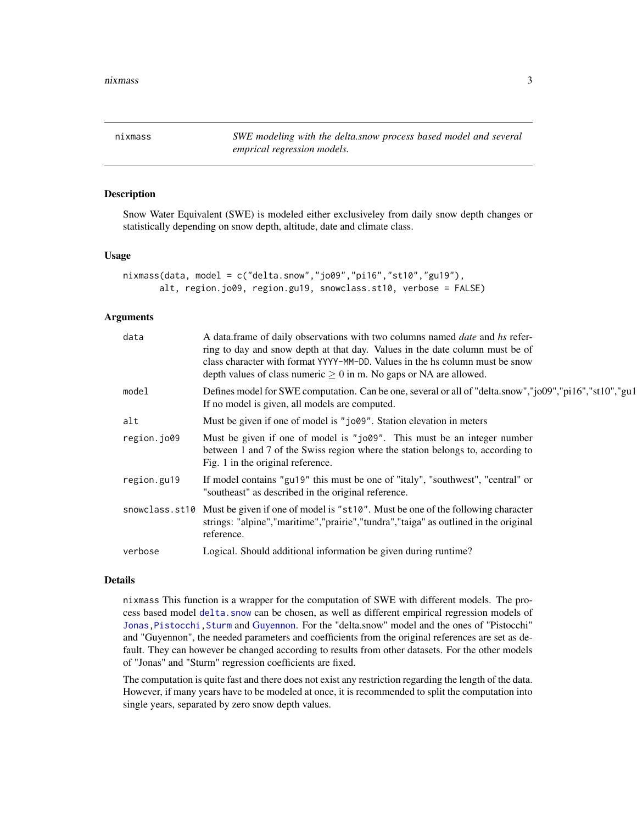<span id="page-2-1"></span><span id="page-2-0"></span>nixmass *SWE modeling with the delta.snow process based model and several emprical regression models.*

## **Description**

Snow Water Equivalent (SWE) is modeled either exclusiveley from daily snow depth changes or statistically depending on snow depth, altitude, date and climate class.

#### Usage

```
nixmass(data, model = c("delta.snow","jo09","pi16","st10","gu19"),
      alt, region.jo09, region.gu19, snowclass.st10, verbose = FALSE)
```
#### Arguments

| data        | A data.frame of daily observations with two columns named date and hs refer-<br>ring to day and snow depth at that day. Values in the date column must be of<br>class character with format YYYY-MM-DD. Values in the hs column must be snow<br>depth values of class numeric $\geq 0$ in m. No gaps or NA are allowed. |
|-------------|-------------------------------------------------------------------------------------------------------------------------------------------------------------------------------------------------------------------------------------------------------------------------------------------------------------------------|
| model       | Defines model for SWE computation. Can be one, several or all of "delta.snow","jo09","pi16","st10","gu1<br>If no model is given, all models are computed.                                                                                                                                                               |
| alt         | Must be given if one of model is "jo09". Station elevation in meters                                                                                                                                                                                                                                                    |
| region.jo09 | Must be given if one of model is "jo09". This must be an integer number<br>between 1 and 7 of the Swiss region where the station belongs to, according to<br>Fig. 1 in the original reference.                                                                                                                          |
| region.gu19 | If model contains "gu19" this must be one of "italy", "southwest", "central" or<br>"southeast" as described in the original reference.                                                                                                                                                                                  |
|             | snowclass.st10 Must be given if one of model is "st10". Must be one of the following character<br>strings: "alpine", "maritime", "prairie", "tundra", "taiga" as outlined in the original<br>reference.                                                                                                                 |
| verbose     | Logical. Should additional information be given during runtime?                                                                                                                                                                                                                                                         |

### Details

nixmass This function is a wrapper for the computation of SWE with different models. The process based model [delta.snow](#page-5-1) can be chosen, as well as different empirical regression models of [Jonas](#page-7-1), Pistocchi, Sturm and [Guyennon.](#page-6-1) For the "delta.snow" model and the ones of "Pistocchi" and "Guyennon", the needed parameters and coefficients from the original references are set as default. They can however be changed according to results from other datasets. For the other models of "Jonas" and "Sturm" regression coefficients are fixed.

The computation is quite fast and there does not exist any restriction regarding the length of the data. However, if many years have to be modeled at once, it is recommended to split the computation into single years, separated by zero snow depth values.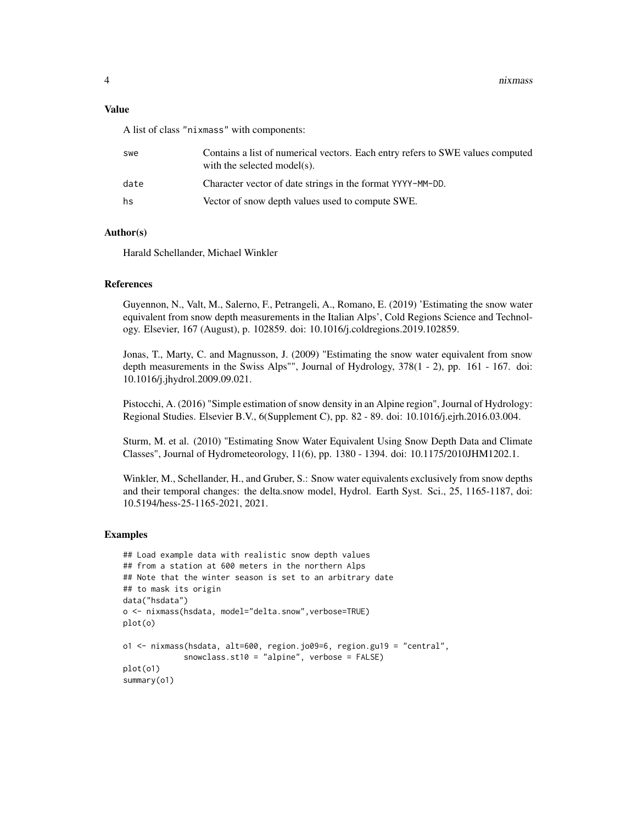4 nixmass and the contract of the contract of the contract of the contract of the contract of the contract of the contract of the contract of the contract of the contract of the contract of the contract of the contract of

#### Value

A list of class "nixmass" with components:

| swe  | Contains a list of numerical vectors. Each entry refers to SWE values computed<br>with the selected model(s). |
|------|---------------------------------------------------------------------------------------------------------------|
| date | Character vector of date strings in the format YYYY-MM-DD.                                                    |
| hs   | Vector of snow depth values used to compute SWE.                                                              |
|      |                                                                                                               |

## Author(s)

Harald Schellander, Michael Winkler

## References

Guyennon, N., Valt, M., Salerno, F., Petrangeli, A., Romano, E. (2019) 'Estimating the snow water equivalent from snow depth measurements in the Italian Alps', Cold Regions Science and Technology. Elsevier, 167 (August), p. 102859. doi: 10.1016/j.coldregions.2019.102859.

Jonas, T., Marty, C. and Magnusson, J. (2009) "Estimating the snow water equivalent from snow depth measurements in the Swiss Alps"", Journal of Hydrology, 378(1 - 2), pp. 161 - 167. doi: 10.1016/j.jhydrol.2009.09.021.

Pistocchi, A. (2016) "Simple estimation of snow density in an Alpine region", Journal of Hydrology: Regional Studies. Elsevier B.V., 6(Supplement C), pp. 82 - 89. doi: 10.1016/j.ejrh.2016.03.004.

Sturm, M. et al. (2010) "Estimating Snow Water Equivalent Using Snow Depth Data and Climate Classes", Journal of Hydrometeorology, 11(6), pp. 1380 - 1394. doi: 10.1175/2010JHM1202.1.

Winkler, M., Schellander, H., and Gruber, S.: Snow water equivalents exclusively from snow depths and their temporal changes: the delta.snow model, Hydrol. Earth Syst. Sci., 25, 1165-1187, doi: 10.5194/hess-25-1165-2021, 2021.

#### Examples

```
## Load example data with realistic snow depth values
## from a station at 600 meters in the northern Alps
## Note that the winter season is set to an arbitrary date
## to mask its origin
data("hsdata")
o <- nixmass(hsdata, model="delta.snow",verbose=TRUE)
plot(o)
o1 <- nixmass(hsdata, alt=600, region.jo09=6, region.gu19 = "central",
             snowclass.st10 = "alpine", verbose = FALSE)
plot(o1)
summary(o1)
```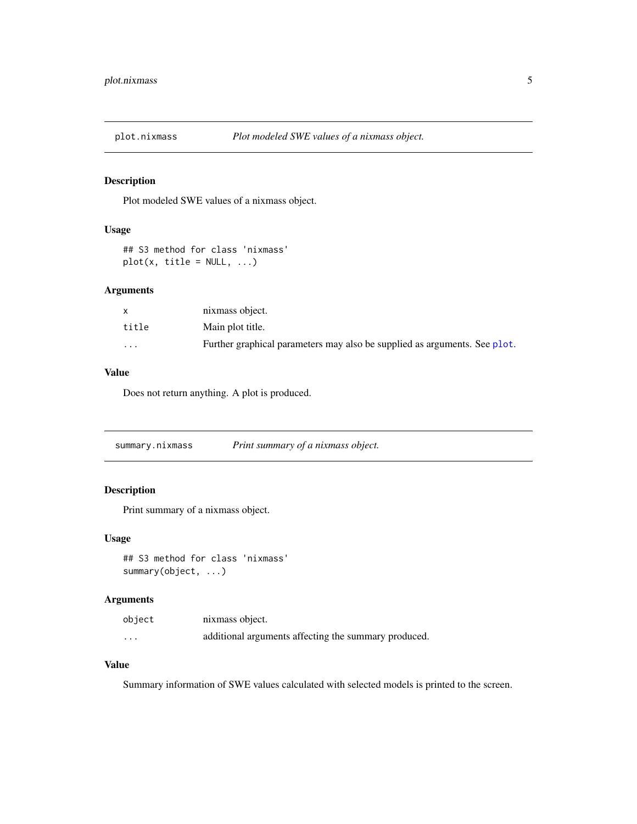<span id="page-4-0"></span>

## Description

Plot modeled SWE values of a nixmass object.

## Usage

```
## S3 method for class 'nixmass'
plot(x, title = NULL, ...)
```
## Arguments

|          | nixmass object.                                                           |
|----------|---------------------------------------------------------------------------|
| title    | Main plot title.                                                          |
| $\cdots$ | Further graphical parameters may also be supplied as arguments. See plot. |

## Value

Does not return anything. A plot is produced.

summary.nixmass *Print summary of a nixmass object.*

## Description

Print summary of a nixmass object.

## Usage

## S3 method for class 'nixmass' summary(object, ...)

## Arguments

| object               | nixmass object.                                      |
|----------------------|------------------------------------------------------|
| $\ddot{\phantom{0}}$ | additional arguments affecting the summary produced. |

## Value

Summary information of SWE values calculated with selected models is printed to the screen.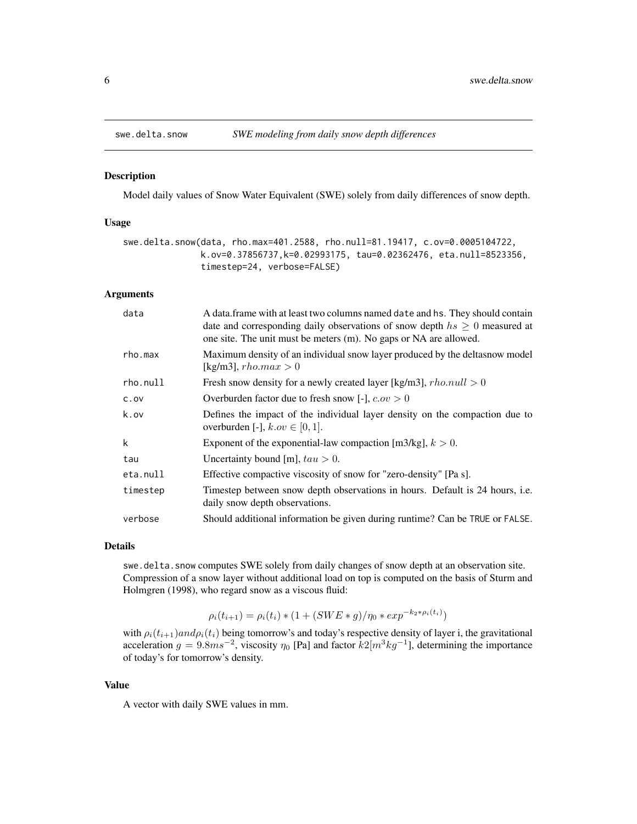<span id="page-5-1"></span><span id="page-5-0"></span>

#### Description

Model daily values of Snow Water Equivalent (SWE) solely from daily differences of snow depth.

## Usage

```
swe.delta.snow(data, rho.max=401.2588, rho.null=81.19417, c.ov=0.0005104722,
               k.ov=0.37856737,k=0.02993175, tau=0.02362476, eta.null=8523356,
               timestep=24, verbose=FALSE)
```
#### Arguments

| data     | A data. frame with at least two columns named date and hs. They should contain<br>date and corresponding daily observations of snow depth $hs \geq 0$ measured at<br>one site. The unit must be meters (m). No gaps or NA are allowed. |
|----------|----------------------------------------------------------------------------------------------------------------------------------------------------------------------------------------------------------------------------------------|
| rho.max  | Maximum density of an individual snow layer produced by the deltasnow model<br>[kg/m3], $rho.max > 0$                                                                                                                                  |
| rho.null | Fresh snow density for a newly created layer [kg/m3], $rho.null > 0$                                                                                                                                                                   |
| C.0V     | Overburden factor due to fresh snow [-], $c.ov > 0$                                                                                                                                                                                    |
| k.ov     | Defines the impact of the individual layer density on the compaction due to<br>overburden [-], $k.ov \in [0, 1]$ .                                                                                                                     |
| k        | Exponent of the exponential-law compaction [m3/kg], $k > 0$ .                                                                                                                                                                          |
| tau      | Uncertainty bound [m], $tau > 0$ .                                                                                                                                                                                                     |
| eta.null | Effective compactive viscosity of snow for "zero-density" [Pa s].                                                                                                                                                                      |
| timestep | Timestep between snow depth observations in hours. Default is 24 hours, i.e.<br>daily snow depth observations.                                                                                                                         |
| verbose  | Should additional information be given during runtime? Can be TRUE or FALSE.                                                                                                                                                           |

#### Details

swe.delta.snow computes SWE solely from daily changes of snow depth at an observation site. Compression of a snow layer without additional load on top is computed on the basis of Sturm and Holmgren (1998), who regard snow as a viscous fluid:

$$
\rho_i(t_{i+1}) = \rho_i(t_i) * (1 + (SWE * g) / \eta_0 * exp^{-k_2 * \rho_i(t_i)})
$$

with  $\rho_i(t_{i+1})$ and $\rho_i(t_i)$  being tomorrow's and today's respective density of layer i, the gravitational acceleration  $g = 9.8ms^{-2}$ , viscosity  $\eta_0$  [Pa] and factor  $k2[m^3kg^{-1}]$ , determining the importance of today's for tomorrow's density.

#### Value

A vector with daily SWE values in mm.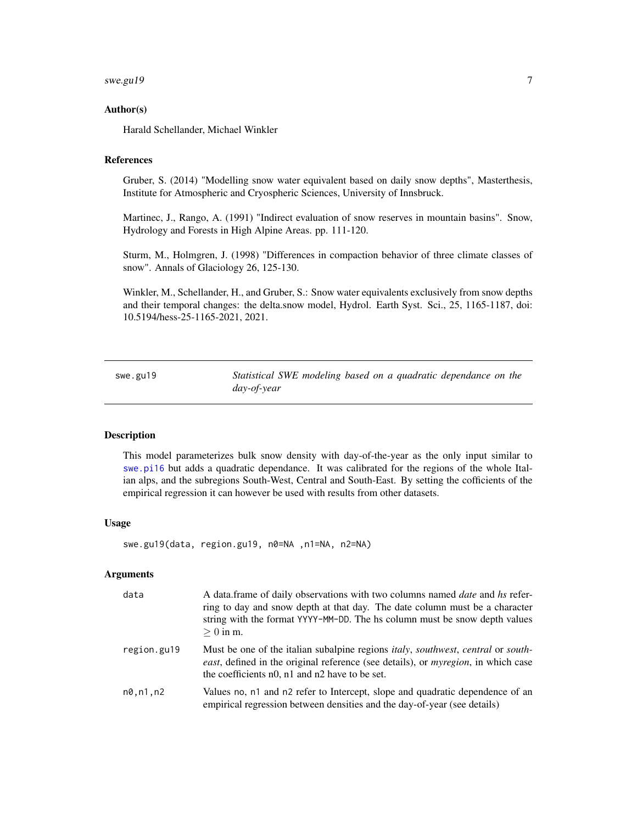#### <span id="page-6-0"></span> $swe.gu19$   $7$

#### Author(s)

Harald Schellander, Michael Winkler

## References

Gruber, S. (2014) "Modelling snow water equivalent based on daily snow depths", Masterthesis, Institute for Atmospheric and Cryospheric Sciences, University of Innsbruck.

Martinec, J., Rango, A. (1991) "Indirect evaluation of snow reserves in mountain basins". Snow, Hydrology and Forests in High Alpine Areas. pp. 111-120.

Sturm, M., Holmgren, J. (1998) "Differences in compaction behavior of three climate classes of snow". Annals of Glaciology 26, 125-130.

Winkler, M., Schellander, H., and Gruber, S.: Snow water equivalents exclusively from snow depths and their temporal changes: the delta.snow model, Hydrol. Earth Syst. Sci., 25, 1165-1187, doi: 10.5194/hess-25-1165-2021, 2021.

<span id="page-6-1"></span>swe.gu19 *Statistical SWE modeling based on a quadratic dependance on the day-of-year*

## **Description**

This model parameterizes bulk snow density with day-of-the-year as the only input similar to [swe.pi16](#page-8-1) but adds a quadratic dependance. It was calibrated for the regions of the whole Italian alps, and the subregions South-West, Central and South-East. By setting the cofficients of the empirical regression it can however be used with results from other datasets.

#### Usage

swe.gu19(data, region.gu19, n0=NA ,n1=NA, n2=NA)

#### Arguments

| data        | A data frame of daily observations with two columns named <i>date</i> and hs refer-<br>ring to day and snow depth at that day. The date column must be a character<br>string with the format YYYY-MM-DD. The hs column must be snow depth values<br>$>0$ in m. |
|-------------|----------------------------------------------------------------------------------------------------------------------------------------------------------------------------------------------------------------------------------------------------------------|
| region.gu19 | Must be one of the italian subalpine regions <i>italy, southwest, central</i> or <i>south</i> -<br>east, defined in the original reference (see details), or <i>myregion</i> , in which case<br>the coefficients n0, n1 and n2 have to be set.                 |
| n0.n1.n2    | Values no, n1 and n2 refer to Intercept, slope and quadratic dependence of an<br>empirical regression between densities and the day-of-year (see details)                                                                                                      |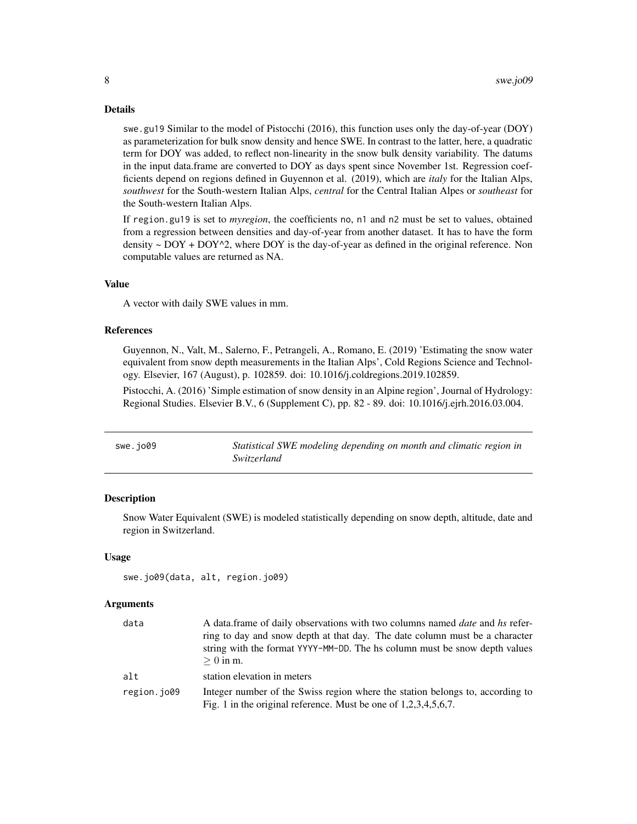#### Details

swe.gu19 Similar to the model of Pistocchi (2016), this function uses only the day-of-year (DOY) as parameterization for bulk snow density and hence SWE. In contrast to the latter, here, a quadratic term for DOY was added, to reflect non-linearity in the snow bulk density variability. The datums in the input data.frame are converted to DOY as days spent since November 1st. Regression coefficients depend on regions defined in Guyennon et al. (2019), which are *italy* for the Italian Alps, *southwest* for the South-western Italian Alps, *central* for the Central Italian Alpes or *southeast* for the South-western Italian Alps.

If region.gu19 is set to *myregion*, the coefficients no, n1 and n2 must be set to values, obtained from a regression between densities and day-of-year from another dataset. It has to have the form density  $\sim$  DOY + DOY $\gamma$ 2, where DOY is the day-of-year as defined in the original reference. Non computable values are returned as NA.

#### Value

A vector with daily SWE values in mm.

#### References

Guyennon, N., Valt, M., Salerno, F., Petrangeli, A., Romano, E. (2019) 'Estimating the snow water equivalent from snow depth measurements in the Italian Alps', Cold Regions Science and Technology. Elsevier, 167 (August), p. 102859. doi: 10.1016/j.coldregions.2019.102859.

Pistocchi, A. (2016) 'Simple estimation of snow density in an Alpine region', Journal of Hydrology: Regional Studies. Elsevier B.V., 6 (Supplement C), pp. 82 - 89. doi: 10.1016/j.ejrh.2016.03.004.

<span id="page-7-1"></span>

| swe.jo09 | Statistical SWE modeling depending on month and climatic region in |
|----------|--------------------------------------------------------------------|
|          | Switzerland                                                        |

#### Description

Snow Water Equivalent (SWE) is modeled statistically depending on snow depth, altitude, date and region in Switzerland.

#### Usage

```
swe.jo09(data, alt, region.jo09)
```
#### Arguments

| data        | A data frame of daily observations with two columns named <i>date</i> and hs refer-<br>ring to day and snow depth at that day. The date column must be a character<br>string with the format YYYY-MM-DD. The hs column must be snow depth values<br>$>0$ in m. |
|-------------|----------------------------------------------------------------------------------------------------------------------------------------------------------------------------------------------------------------------------------------------------------------|
| alt         | station elevation in meters                                                                                                                                                                                                                                    |
| region.jo09 | Integer number of the Swiss region where the station belongs to, according to<br>Fig. 1 in the original reference. Must be one of $1,2,3,4,5,6,7$ .                                                                                                            |

<span id="page-7-0"></span>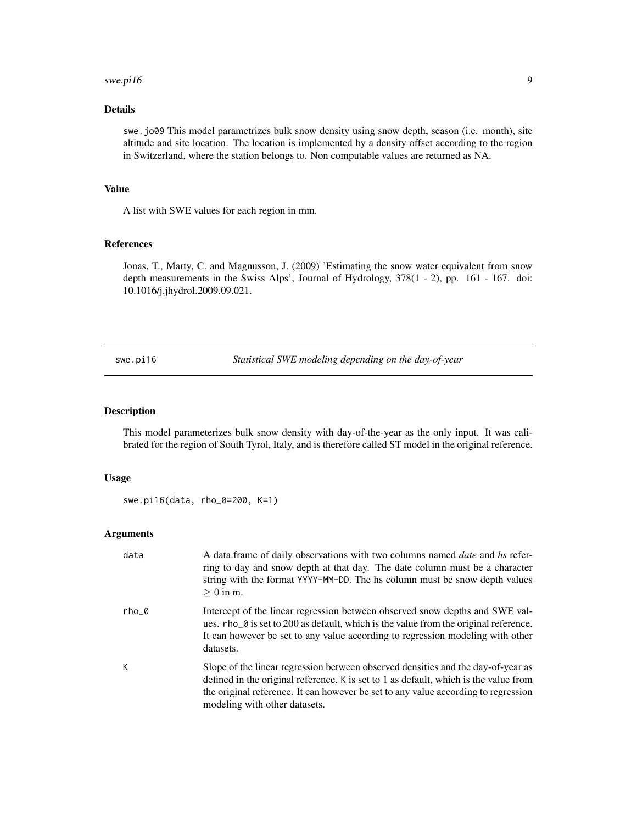#### <span id="page-8-0"></span>swe.pi16 9

## Details

swe.jo09 This model parametrizes bulk snow density using snow depth, season (i.e. month), site altitude and site location. The location is implemented by a density offset according to the region in Switzerland, where the station belongs to. Non computable values are returned as NA.

## Value

A list with SWE values for each region in mm.

#### References

Jonas, T., Marty, C. and Magnusson, J. (2009) 'Estimating the snow water equivalent from snow depth measurements in the Swiss Alps', Journal of Hydrology, 378(1 - 2), pp. 161 - 167. doi: 10.1016/j.jhydrol.2009.09.021.

<span id="page-8-1"></span>swe.pi16 *Statistical SWE modeling depending on the day-of-year*

### Description

This model parameterizes bulk snow density with day-of-the-year as the only input. It was calibrated for the region of South Tyrol, Italy, and is therefore called ST model in the original reference.

#### Usage

swe.pi16(data, rho\_0=200, K=1)

## Arguments

| data    | A data frame of daily observations with two columns named <i>date</i> and hs refer-<br>ring to day and snow depth at that day. The date column must be a character<br>string with the format YYYY-MM-DD. The hs column must be snow depth values<br>$> 0$ in m.                                 |
|---------|-------------------------------------------------------------------------------------------------------------------------------------------------------------------------------------------------------------------------------------------------------------------------------------------------|
| $rho_0$ | Intercept of the linear regression between observed snow depths and SWE val-<br>ues. rho_0 is set to 200 as default, which is the value from the original reference.<br>It can however be set to any value according to regression modeling with other<br>datasets.                             |
| K       | Slope of the linear regression between observed densities and the day-of-year as<br>defined in the original reference. K is set to 1 as default, which is the value from<br>the original reference. It can however be set to any value according to regression<br>modeling with other datasets. |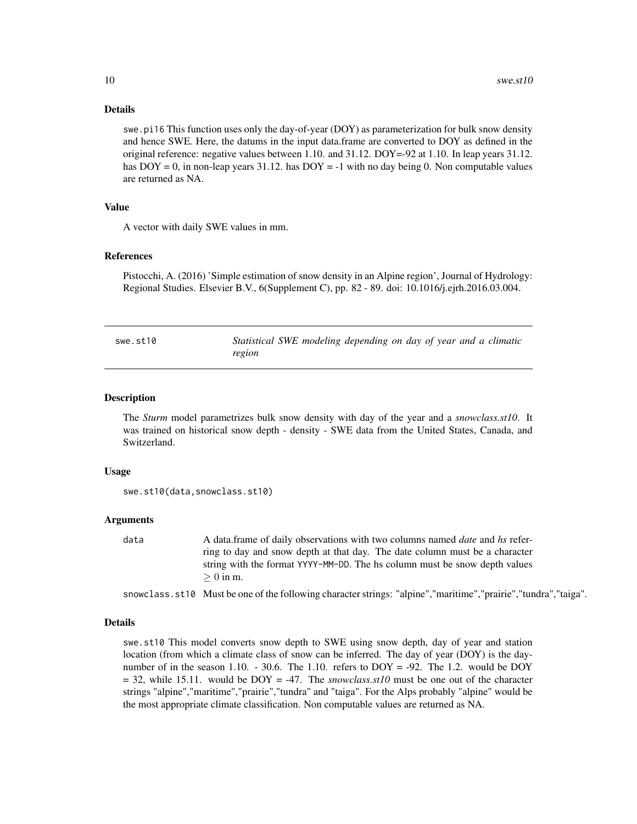#### Details

swe.pi16 This function uses only the day-of-year (DOY) as parameterization for bulk snow density and hence SWE. Here, the datums in the input data.frame are converted to DOY as defined in the original reference: negative values between 1.10. and 31.12. DOY=-92 at 1.10. In leap years 31.12. has  $DOY = 0$ , in non-leap years 31.12. has  $DOY = -1$  with no day being 0. Non computable values are returned as NA.

## Value

A vector with daily SWE values in mm.

#### References

Pistocchi, A. (2016) 'Simple estimation of snow density in an Alpine region', Journal of Hydrology: Regional Studies. Elsevier B.V., 6(Supplement C), pp. 82 - 89. doi: 10.1016/j.ejrh.2016.03.004.

<span id="page-9-1"></span>

| swe.st10 | Statistical SWE modeling depending on day of year and a climatic |  |
|----------|------------------------------------------------------------------|--|
|          | region                                                           |  |

#### Description

The *Sturm* model parametrizes bulk snow density with day of the year and a *snowclass.st10*. It was trained on historical snow depth - density - SWE data from the United States, Canada, and Switzerland.

#### Usage

```
swe.st10(data,snowclass.st10)
```
#### Arguments

data A data.frame of daily observations with two columns named *date* and *hs* referring to day and snow depth at that day. The date column must be a character string with the format YYYY-MM-DD. The hs column must be snow depth values  $\geq 0$  in m.

snowclass.st10 Must be one of the following character strings: "alpine","maritime","prairie","tundra","taiga".

#### Details

swe.st10 This model converts snow depth to SWE using snow depth, day of year and station location (from which a climate class of snow can be inferred. The day of year (DOY) is the daynumber of in the season 1.10. - 30.6. The 1.10. refers to  $DOY = -92$ . The 1.2. would be  $DOY$  $= 32$ , while 15.11. would be DOY  $= -47$ . The *snowclass.st10* must be one out of the character strings "alpine","maritime","prairie","tundra" and "taiga". For the Alps probably "alpine" would be the most appropriate climate classification. Non computable values are returned as NA.

<span id="page-9-0"></span>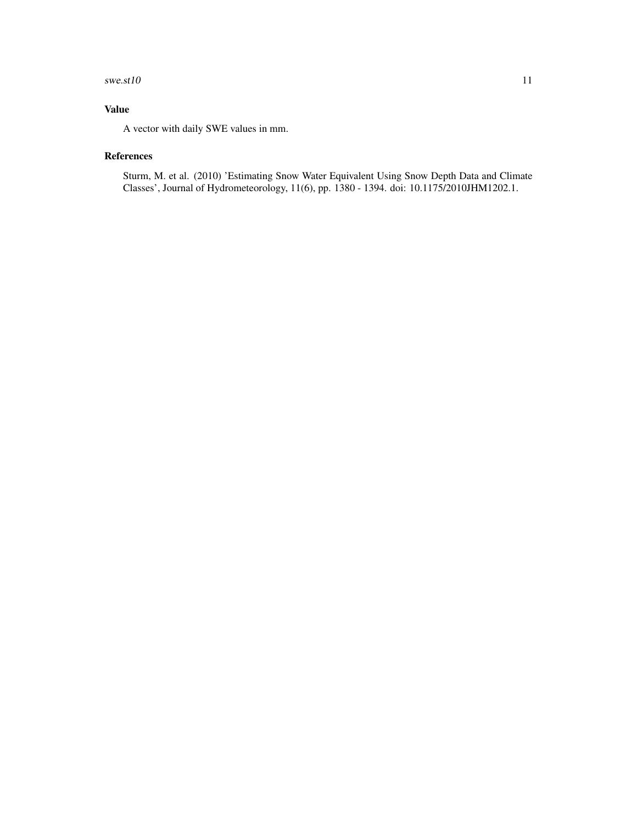#### $swe.st10$  11

## Value

A vector with daily SWE values in mm.

## References

Sturm, M. et al. (2010) 'Estimating Snow Water Equivalent Using Snow Depth Data and Climate Classes', Journal of Hydrometeorology, 11(6), pp. 1380 - 1394. doi: 10.1175/2010JHM1202.1.